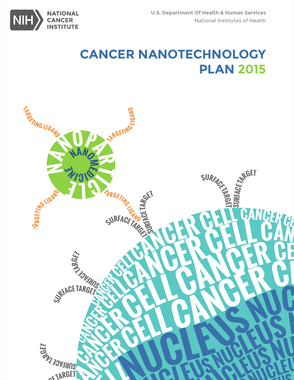

# **CANCER NANOTECHNOLOGY PLAN 2015**

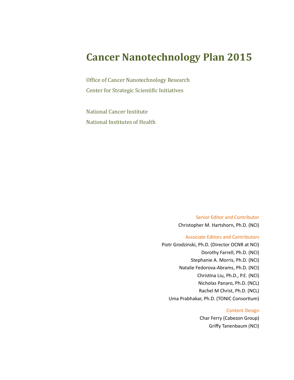## **Cancer Nanotechnology Plan 2015**

Office of Cancer Nanotechnology Research Center for Strategic Scientific Initiatives

National Cancer Institute National Institutes of Health

> Senior Editor and Contributor Christopher M. Hartshorn, Ph.D. (NCI)

#### Associate Editors and Contributors

Piotr Grodzinski, Ph.D. (Director OCNR at NCI) Dorothy Farrell, Ph.D. (NCI) Stephanie A. Morris, Ph.D. (NCI) Natalie Fedorova-Abrams, Ph.D. (NCI) Christna Liu, Ph.D., P.E. (NCI) Nicholas Panaro, Ph.D. (NCL) Rachel M Christ, Ph.D. (NCL) Uma Prabhakar, Ph.D. (TONIC Consortum)

#### Content Design

Char Ferry (Cabezon Group) Grify Tanenbaum (NCI)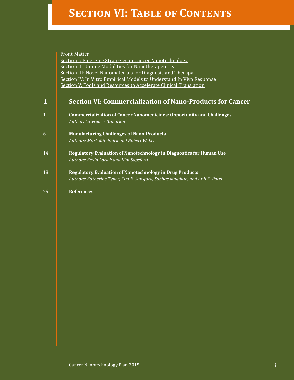# **SECTION VI: TABLE OF CONTENTS**

|                                                           | <b>Front Matter</b>                                                          |  |  |  |  |  |
|-----------------------------------------------------------|------------------------------------------------------------------------------|--|--|--|--|--|
|                                                           | <b>Section I: Emerging Strategies in Cancer Nanotechnology</b>               |  |  |  |  |  |
| <b>Section II: Unique Modalities for Nanotherapeutics</b> |                                                                              |  |  |  |  |  |
|                                                           | Section III: Novel Nanomaterials for Diagnosis and Therapy                   |  |  |  |  |  |
|                                                           | Section IV: In Vitro Empirical Models to Understand In Vivo Response         |  |  |  |  |  |
|                                                           | Section V: Tools and Resources to Accelerate Clinical Translation            |  |  |  |  |  |
|                                                           |                                                                              |  |  |  |  |  |
| 1                                                         | <b>Section VI: Commercialization of Nano-Products for Cancer</b>             |  |  |  |  |  |
| $\mathbf{1}$                                              | <b>Commercialization of Cancer Nanomedicines: Opportunity and Challenges</b> |  |  |  |  |  |
|                                                           | Author: Lawrence Tamarkin                                                    |  |  |  |  |  |
| 6                                                         | <b>Manufacturing Challenges of Nano-Products</b>                             |  |  |  |  |  |
|                                                           | Authors: Mark Mitchnick and Robert W. Lee                                    |  |  |  |  |  |
| 14                                                        | Regulatory Evaluation of Nanotechnology in Diagnostics for Human Use         |  |  |  |  |  |
|                                                           | Authors: Kevin Lorick and Kim Sapsford                                       |  |  |  |  |  |
| 18                                                        | <b>Regulatory Evaluation of Nanotechnology in Drug Products</b>              |  |  |  |  |  |
|                                                           | Authors: Katherine Tyner, Kim E. Sapsford, Subhas Malghan, and Anil K. Patri |  |  |  |  |  |
| 25                                                        | <b>References</b>                                                            |  |  |  |  |  |
|                                                           |                                                                              |  |  |  |  |  |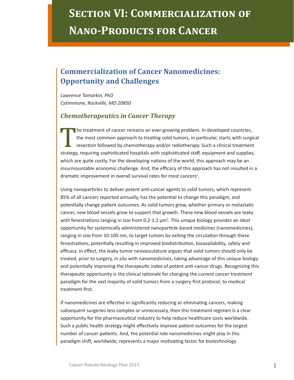# **SECTION VI: COMMERCIALIZATION OF Nano-Products for Cancer**

## **Commercialization of Cancer Nanomedicines: Opportunity and Challenges**

*Lawrence Tamarkin, PhD CytImmune, Rockville, MD 20850*

#### *Chemotherapeutics in Cancer Therapy*

The treatment of cancer remains an ever-growing problem. In developed countries,<br>the most common approach to treating solid tumors, in particular, starts with surgi<br>resection followed by chemotherapy and/or radiotherapy. S the most common approach to treating solid tumors, in particular, starts with surgical resection followed by chemotherapy and/or radiotherapy. Such a clinical treatment strategy, requiring sophisticated hospitals with sophisticated staff, equipment and supplies, which are quite costly. For the developing nations of the world, this approach may be an insurmountable economic challenge. And, the efficacy of this approach has not resulted in a dramatic improvement in overall survival rates for most cancers<sup>1</sup>.

Using nanoparticles to deliver potent anti-cancer agents to solid tumors, which represent 85% of all cancers reported annually, has the potental to change this paradigm, and potentally change patent outcomes. As solid tumors grow, whether primary or metastatc cancer, new blood vessels grow to support that growth. These new blood vessels are leaky with fenestrations ranging in size from  $0.2$ -1.2  $\mu$ m<sup>2</sup>. This unique biology provides an ideal opportunity for systemically administered nanopartcle-based medicines (nanomedicines), ranging in size from 10-100 nm, to target tumors by exiting the circulation through these fenestrations, potentially resulting in improved biodistribution, bioavailability, safety and efficacy. In effect, the leaky tumor neovasculature argues that solid tumors should only be treated, prior to surgery, *in situ* with nanomedicines, taking advantage of this unique biology and potentially improving the therapeutic index of potent anti-cancer drugs. Recognizing this therapeutic opportunity is the clinical rationale for changing the current cancer treatment paradigm for the vast majority of solid tumors from a surgery frst protocol, to medical treatment frst.

If nanomedicines are effective in significantly reducing or eliminating cancers, making subsequent surgeries less complex or unnecessary, then this treatment regimen is a clear opportunity for the pharmaceutical industry to help reduce healthcare costs worldwide. Such a public health strategy might efectvely improve patent outcomes for the largest number of cancer patients. And, the potential role nanomedicines might play in this paradigm shift, worldwide, represents a major motivating factor for biotechnology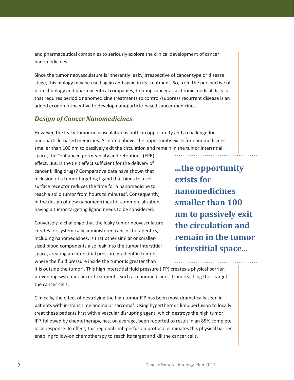and pharmaceutical companies to seriously explore the clinical development of cancer nanomedicines.

Since the tumor neovasculature is inherently leaky, irrespective of cancer type or disease stage, this biology may be used again and again in its treatment. So, from the perspective of biotechnology and pharmaceutical companies, treating cancer as a chronic medical disease that requires periodic nanomedicine treatments to control/suppress recurrent disease is an added economic incentive to develop nanoparticle-based cancer medicines.

## *Design of Cancer Nanomedicines*

However, the leaky tumor neovasculature is both an opportunity and a challenge for nanopartcle-based medicines. As noted above, the opportunity exists for nanomedicines smaller than 100 nm to passively exit the circulation and remain in the tumor interstitial

space, the "enhanced permeability and retenton" (EPR) effect. But, is the EPR effect sufficient for the delivery of cancer killing drugs? Comparative data have shown that inclusion of a tumor targeting ligand that binds to a cell surface receptor reduces the time for a nanomedicine to reach a solid tumor from hours to minutes<sup>3</sup>. Consequently, in the design of new nanomedicines for commercializaton having a tumor-targeting ligand needs to be considered.

Conversely, a challenge that the leaky tumor neovasculature creates for systemically administered cancer therapeutics, including nanomedicines, is that other similar or smallersized blood components also leak into the tumor interstitial space, creating an interstitial pressure gradient in tumors, where the fuid pressure inside the tumor is greater than

**...the opportunity exists for nanomedicines smaller than 100 nm to passively exit the circulation and remain in the tumor interstitial space...**

it is outside the tumor<sup>4</sup>. This high interstitial fluid pressure (IFP) creates a physical barrier, preventing systemic cancer treatments, such as nanomedicines, from reaching their target, the cancer cells.

Clinically, the efect of destroying the high tumor IFP has been most dramatcally seen in patients with in-transit melanoma or sarcoma<sup>5</sup>. Using hyperthermic limb perfusion to locally treat these patients first with a vascular disrupting agent, which destroys the high tumor IFP, followed by chemotherapy, has, on average, been reported to result in an 85% complete local response. In efect, this regional limb perfusion protocol eliminates this physical barrier, enabling follow-on chemotherapy to reach its target and kill the cancer cells.

 $\sim$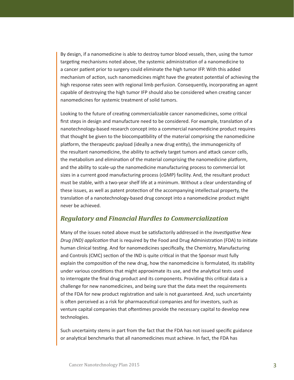By design, if a nanomedicine is able to destroy tumor blood vessels, then, using the tumor targeting mechanisms noted above, the systemic administration of a nanomedicine to a cancer patient prior to surgery could eliminate the high tumor IFP. With this added mechanism of action, such nanomedicines might have the greatest potential of achieving the high response rates seen with regional limb perfusion. Consequently, incorporating an agent capable of destroying the high tumor IFP should also be considered when creatng cancer nanomedicines for systemic treatment of solid tumors.

Looking to the future of creating commercializable cancer nanomedicines, some critical first steps in design and manufacture need to be considered. For example, translation of a nanotechnology-based research concept into a commercial nanomedicine product requires that thought be given to the biocompatbility of the material comprising the nanomedicine platform, the therapeutic payload (ideally a new drug entity), the immunogenicity of the resultant nanomedicine, the ability to actvely target tumors and atack cancer cells, the metabolism and elimination of the material comprising the nanomedicine platform, and the ability to scale-up the nanomedicine manufacturing process to commercial lot sizes in a current good manufacturing process (cGMP) facility. And, the resultant product must be stable, with a two-year shelf life at a minimum. Without a clear understanding of these issues, as well as patent protection of the accompanying intellectual property, the translation of a nanotechnology-based drug concept into a nanomedicine product might never be achieved.

#### *Regulatory and Financial Hurdles to Commercialization*

Many of the issues noted above must be satsfactorily addressed in the *Investgatve New Drug (IND) applicaton* that is required by the Food and Drug Administraton (FDA) to initate human clinical testng. And for nanomedicines specifcally, the Chemistry, Manufacturing and Controls (CMC) section of the IND is quite critical in that the Sponsor must fully explain the compositon of the new drug, how the nanomedicine is formulated, its stability under various conditions that might approximate its use, and the analytical tests used to interrogate the fnal drug product and its components. Providing this critcal data is a challenge for new nanomedicines, and being sure that the data meet the requirements of the FDA for new product registraton and sale is not guaranteed. And, such uncertainty is often perceived as a risk for pharmaceutical companies and for investors, such as venture capital companies that ofentmes provide the necessary capital to develop new technologies.

Such uncertainty stems in part from the fact that the FDA has not issued specifc guidance or analytical benchmarks that all nanomedicines must achieve. In fact, the FDA has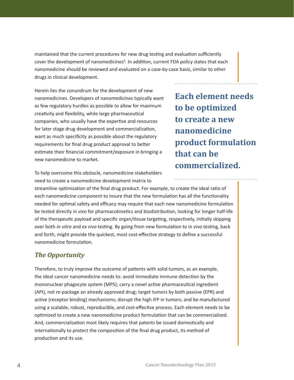maintained that the current procedures for new drug testing and evaluation sufficiently cover the development of nanomedicines<sup>6</sup>. In addition, current FDA policy states that each nanomedicine should be reviewed and evaluated on a case-by-case basis, similar to other drugs in clinical development.

Herein lies the conundrum for the development of new nanomedicines. Developers of nanomedicines typically want as few regulatory hurdles as possible to allow for maximum creativity and flexibility, while large pharmaceutical companies, who usually have the expertse and resources for later stage drug development and commercialization, want as much specificity as possible about the regulatory requirements for final drug product approval to better estmate their fnancial commitment/exposure in bringing a new nanomedicine to market.

**Each element needs to be optimized to create a new nanomedicine product formulation that can be commercialized.**

To help overcome this obstacle, nanomedicine stakeholders need to create a nanomedicine development matrix to

streamline optmizaton of the fnal drug product. For example, to create the ideal rato of each nanomedicine component to insure that the new formulation has all the functionality needed for optimal safety and efficacy may require that each new nanomedicine formulation be tested directly *in vivo* for pharmacokinetics and biodistribution, looking for longer half-life of the therapeutic payload and specific organ/tissue targeting, respectively, initially skipping over both *in vitro* and *ex vivo* testng. By going from new formulaton to in vivo testng, back and forth, might provide the quickest, most cost-effective strategy to define a successful nanomedicine formulation.

## *The Opportunity*

Therefore, to truly improve the outcome of patents with solid tumors, as an example, the ideal cancer nanomedicine needs to: avoid immediate immune detection by the mononuclear phagocyte system (MPS); carry a novel active pharmaceutical ingredient (API), not re-package an already approved drug; target tumors by both passive (EPR) and active (receptor binding) mechanisms; disrupt the high IFP in tumors; and be manufactured using a scalable, robust, reproducible, and cost-efectve process. Each element needs to be optmized to create a new nanomedicine product formulaton that can be commercialized. And, commercialization most likely requires that patents be issued domestically and internationally to protect the composition of the final drug product, its method of production and its use.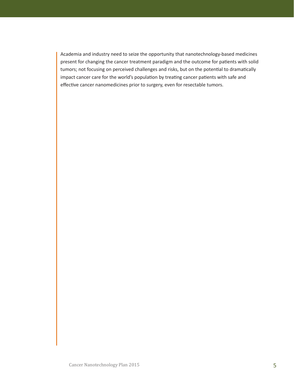Academia and industry need to seize the opportunity that nanotechnology-based medicines present for changing the cancer treatment paradigm and the outcome for patents with solid tumors; not focusing on perceived challenges and risks, but on the potential to dramatically impact cancer care for the world's population by treating cancer patients with safe and effective cancer nanomedicines prior to surgery, even for resectable tumors.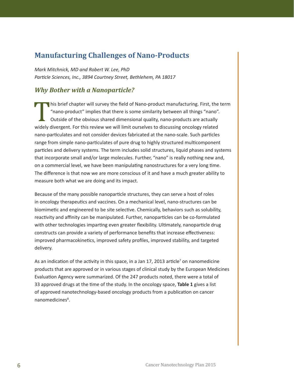## **Manufacturing Challenges of Nano-Products**

*Mark Mitchnick, MD and Robert W. Lee, PhD* Particle Sciences, Inc., 3894 Courtney Street, Bethlehem, PA 18017

## *Why Bother with a Nanoparticle?*

This brief chapter will survey the field of Nano-product manufacturing. First, the term "nano-product" implies that there is some similarity between all things "nano". Outside of the obvious shared dimensional quality, nano-products are actually widely divergent. For this review we will limit ourselves to discussing oncology related nano-partculates and not consider devices fabricated at the nano-scale. Such partcles range from simple nano-particulates of pure drug to highly structured multicomponent particles and delivery systems. The term includes solid structures, liquid phases and systems that incorporate small and/or large molecules. Further, "nano" is really nothing new and, on a commercial level, we have been manipulatng nanostructures for a very long tme. The diference is that now we are more conscious of it and have a much greater ability to measure both what we are doing and its impact.

Because of the many possible nanoparticle structures, they can serve a host of roles in oncology therapeutics and vaccines. On a mechanical level, nano-structures can be biomimetic and engineered to be site selective. Chemically, behaviors such as solubility, reactivity and affinity can be manipulated. Further, nanoparticles can be co-formulated with other technologies imparting even greater flexibility. Ultimately, nanoparticle drug constructs can provide a variety of performance benefits that increase effectiveness: improved pharmacokinetics, improved safety profiles, improved stability, and targeted delivery.

As an indication of the activity in this space, in a Jan 17, 2013 article<sup>7</sup> on nanomedicine products that are approved or in various stages of clinical study by the European Medicines Evaluation Agency were summarized. Of the 247 products noted, there were a total of 33 approved drugs at the tme of the study. In the oncology space, **Table 1** gives a list of approved nanotechnology-based oncology products from a publication on cancer nanomedicines<sup>8</sup>.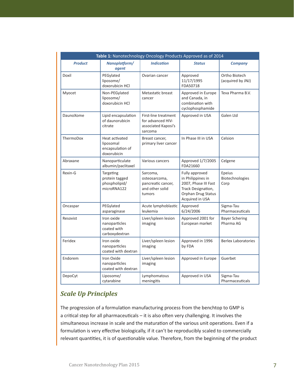| Table 1: Nanotechnology Oncology Products Approved as of 2014 |                                                                |                                                                              |                                                                                                                            |                                    |  |  |  |
|---------------------------------------------------------------|----------------------------------------------------------------|------------------------------------------------------------------------------|----------------------------------------------------------------------------------------------------------------------------|------------------------------------|--|--|--|
| <b>Product</b>                                                | Nanoplatform/<br>agent                                         | <b>Indication</b>                                                            | <b>Status</b>                                                                                                              | <b>Company</b>                     |  |  |  |
| Doxil                                                         | PEGylated<br>liposome/<br>doxorubicin HCl                      | Ovarian cancer                                                               | Approved<br>11/17/1995<br>FDA50718                                                                                         | Ortho Biotech<br>(acquired by JNJ) |  |  |  |
| Myocet                                                        | Non-PEGylated<br>liposome/<br>doxorubicin HCl                  | Metastatic breast<br>cancer                                                  | Approved in Europe<br>and Canada, in<br>combination with<br>cyclophosphamide                                               | Teva Pharma B.V.                   |  |  |  |
| DaunoXome                                                     | Lipid encapsulation<br>of daunorubicin<br>citrate              | First-line treatment<br>for advanced HIV-<br>associated Kaposi's<br>sarcoma  | Approved in USA                                                                                                            | Galen Ltd                          |  |  |  |
| ThermoDox                                                     | Heat activated<br>liposomal<br>encapsulation of<br>doxorubicin | Breast cancer,<br>primary liver cancer                                       | In Phase III in USA                                                                                                        | Celsion                            |  |  |  |
| Abraxane                                                      | Nanoparticulate<br>albumin/paclitaxel                          | Various cancers                                                              | Approved 1/7/2005<br>FDA21660                                                                                              | Celgene                            |  |  |  |
| Rexin-G                                                       | Targeting<br>protein tagged<br>phospholipid/<br>microRNA122    | Sarcoma,<br>osteosarcoma,<br>pancreatic cancer,<br>and other solid<br>tumors | Fully approved<br>in Philippines in<br>2007, Phase III Fast<br>Track Designation,<br>Orphan Drug Status<br>Acquired in USA | Epeius<br>Biotechnologies<br>Corp  |  |  |  |
| Oncaspar                                                      | PEGylated<br>asparaginase                                      | Acute lymphoblastic<br>leukemia                                              | Approved<br>6/24/2006                                                                                                      | Sigma-Tau<br>Pharmaceuticals       |  |  |  |
| Resovist                                                      | Iron oxide<br>nanoparticles<br>coated with<br>carboxydextran   | Liver/spleen lesion<br>imaging                                               | Approved 2001 for<br>European market                                                                                       | <b>Bayer Schering</b><br>Pharma AG |  |  |  |
| Feridex                                                       | Iron oxide<br>nanoparticles<br>coated with dextran             | Liver/spleen lesion<br>imaging                                               | Approved in 1996<br>by FDA                                                                                                 | <b>Berlex Laboratories</b>         |  |  |  |
| Endorem                                                       | Iron Oxide<br>nanoparticles<br>coated with dextran             | Liver/spleen lesion<br>imaging                                               | Approved in Europe                                                                                                         | Guerbet                            |  |  |  |
| DepoCyt                                                       | Liposome/<br>cytarabine                                        | Lymphomatous<br>meningitis                                                   | Approved in USA                                                                                                            | Sigma-Tau<br>Pharmaceuticals       |  |  |  |

## *Scale Up Principles*

The progression of a formulation manufacturing process from the benchtop to GMP is a critical step for all pharmaceuticals – it is also often very challenging. It involves the simultaneous increase in scale and the maturation of the various unit operations. Even if a formulation is very effective biologically, if it can't be reproducibly scaled to commercially relevant quantities, it is of questionable value. Therefore, from the beginning of the product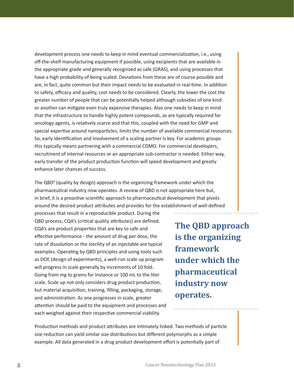development process one needs to keep in mind eventual commercializaton, i.e., using of-the-shelf manufacturing equipment if possible, using excipients that are available in the appropriate grade and generally recognized as safe (GRAS), and using processes that have a high probability of being scaled. Deviations from these are of course possible and are, in fact, quite common but their impact needs to be evaluated in real-tme. In additon to safety, efficacy and quality, cost needs to be considered. Clearly, the lower the cost the greater number of people that can be potentally helped although subsidies of one kind or another can mitgate even truly expensive therapies. Also one needs to keep in mind that the infrastructure to handle highly potent compounds, as are typically required for oncology agents, is relatvely scarce and that this, coupled with the need for GMP and special expertise around nanoparticles, limits the number of available commercial resources. So, early identification and involvement of a scaling partner is key. For academic groups this typically means partnering with a commercial CDMO. For commercial developers, recruitment of internal resources or an appropriate sub-contractor is needed. Either way, early transfer of the product production function will speed development and greatly enhance later chances of success.

The QBD<sup>9</sup> (quality by design) approach is the organizing framework under which the pharmaceutical industry now operates. A review of QBD is not appropriate here but, in brief, it is a proactive scientific approach to pharmaceutical development that pivots around the desired product atributes and provides for the establishment of well-defned

processes that result in a reproducible product. During the QBD process, CQA's (critical quality attributes) are defined. CQA's are product properties that are key to safe and effective performance - the amount of drug per dose, the rate of dissolution or the sterility of an injectable are typical examples. Operating by QBD principles and using tools such as DOE (design of experiments), a well-run scale up program will progress in scale generally by increments of 10 fold. Going from mg to grams for instance or 100 mL to the liter scale. Scale up not only considers drug product production, but material acquisiton, training, flling, packaging, storage, and administration. As one progresses in scale, greater attention should be paid to the equipment and processes and each weighed against their respective commercial viability.

**The QBD approach is the organizing framework under which the pharmaceutical industry now operates.**

Production methods and product attributes are intimately linked. Two methods of particle size reduction can yield similar size distributions but different polymorphs as a simple example. All data generated in a drug product development efort is potentally part of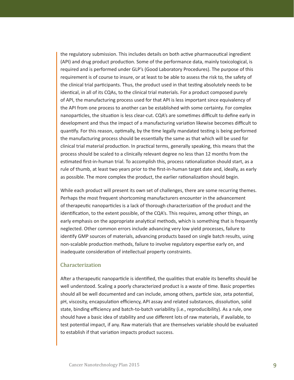the regulatory submission. This includes details on both active pharmaceutical ingredient (API) and drug product production. Some of the performance data, mainly toxicological, is required and is performed under GLP's (Good Laboratory Procedures). The purpose of this requirement is of course to insure, or at least to be able to assess the risk to, the safety of the clinical trial participants. Thus, the product used in that testing absolutely needs to be identical, in all of its CQAs, to the clinical trial materials. For a product composed purely of API, the manufacturing process used for that API is less important since equivalency of the API from one process to another can be established with some certainty. For complex nanoparticles, the situation is less clear-cut. CQA's are sometimes difficult to define early in development and thus the impact of a manufacturing variation likewise becomes difficult to quantify. For this reason, optimally, by the time legally mandated testing is being performed the manufacturing process should be essentally the same as that which will be used for clinical trial material production. In practical terms, generally speaking, this means that the process should be scaled to a clinically relevant degree no less than 12 months from the estimated first-in-human trial. To accomplish this, process rationalization should start, as a rule of thumb, at least two years prior to the frst-in-human target date and, ideally, as early as possible. The more complex the product, the earlier rationalization should begin.

While each product will present its own set of challenges, there are some recurring themes. Perhaps the most frequent shortcoming manufacturers encounter in the advancement of therapeutic nanoparticles is a lack of thorough characterization of the product and the identification, to the extent possible, of the CQA's. This requires, among other things, an early emphasis on the appropriate analytical methods, which is something that is frequently neglected. Other common errors include advancing very low yield processes, failure to identfy GMP sources of materials, advancing products based on single batch results, using non-scalable production methods, failure to involve regulatory expertise early on, and inadequate consideration of intellectual property constraints.

#### Characterization

After a therapeutic nanoparticle is identified, the qualities that enable its benefits should be well understood. Scaling a poorly characterized product is a waste of tme. Basic propertes should all be well documented and can include, among others, partcle size, zeta potental, pH, viscosity, encapsulation efficiency, API assay and related substances, dissolution, solid state, binding efficiency and batch-to-batch variability (i.e., reproducibility). As a rule, one should have a basic idea of stability and use diferent lots of raw materials, if available, to test potental impact, if any. Raw materials that are themselves variable should be evaluated to establish if that variation impacts product success.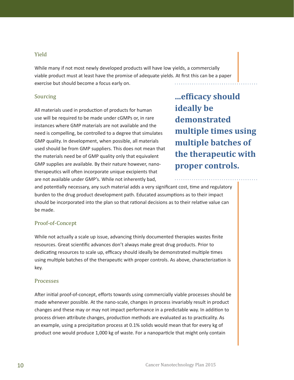#### Yield

While many if not most newly developed products will have low yields, a commercially viable product must at least have the promise of adequate yields. At frst this can be a paper exercise but should become a focus early on.

#### Sourcing

All materials used in production of products for human use will be required to be made under cGMPs or, in rare instances where GMP materials are not available and the need is compelling, be controlled to a degree that simulates GMP quality. In development, when possible, all materials used should be from GMP suppliers. This does not mean that the materials need be of GMP quality only that equivalent GMP supplies are available. By their nature however, nanotherapeutics will often incorporate unique excipients that are not available under GMP's. While not inherently bad,

**...efficacy should ideally be demonstrated multiple times using multiple batches of the therapeutic with proper controls.**

and potentally necessary, any such material adds a very signifcant cost, tme and regulatory burden to the drug product development path. Educated assumptions as to their impact should be incorporated into the plan so that rational decisions as to their relative value can be made.

#### Proof-of-Concept

While not actually a scale up issue, advancing thinly documented therapies wastes fnite resources. Great scientific advances don't always make great drug products. Prior to dedicating resources to scale up, efficacy should ideally be demonstrated multiple times using multiple batches of the therapeutic with proper controls. As above, characterization is key.

#### Processes

Afer inital proof-of-concept, eforts towards using commercially viable processes should be made whenever possible. At the nano-scale, changes in process invariably result in product changes and these may or may not impact performance in a predictable way. In additon to process driven attribute changes, production methods are evaluated as to practicality. As an example, using a precipitation process at 0.1% solids would mean that for every kg of product one would produce 1,000 kg of waste. For a nanopartcle that might only contain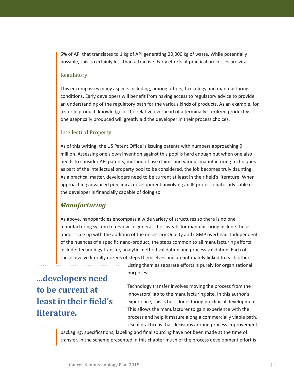5% of API that translates to 1 kg of API generatng 20,000 kg of waste. While potentally possible, this is certainly less than attractive. Early efforts at practical processes are vital.

#### Regulatory

This encompasses many aspects including, among others, toxicology and manufacturing conditions. Early developers will benefit from having access to regulatory advice to provide an understanding of the regulatory path for the various kinds of products. As an example, for a sterile product, knowledge of the relatve overhead of a terminally sterilized product vs. one aseptically produced will greatly aid the developer in their process choices.

#### Intellectual Property

As of this writing, the US Patent Office is issuing patents with numbers approaching 9 million. Assessing one's own invention against this pool is hard enough but when one also needs to consider API patents, method of use claims and various manufacturing techniques as part of the intellectual property pool to be considered, the job becomes truly dauntng. As a practical matter, developers need to be current at least in their field's literature. When approaching advanced preclinical development, involving an IP professional is advisable if the developer is fnancially capable of doing so.

#### *Manufacturing*

As above, nanoparticles encompass a wide variety of structures so there is no one manufacturing system to review. In general, the caveats for manufacturing include those under scale up with the additon of the necessary Quality and cGMP overhead. Independent of the nuances of a specifc nano-product, the steps common to all manufacturing eforts include: technology transfer, analytic method validation and process validation. Each of these involve literally dozens of steps themselves and are intmately linked to each other.

**...developers need to be current at least in their field's literature.**

Listing them as separate efforts is purely for organizational purposes.

Technology transfer involves moving the process from the innovators' lab to the manufacturing site. In this author's experience, this is best done during preclinical development. This allows the manufacturer to gain experience with the process and help it mature along a commercially viable path. Usual practice is that decisions around process improvement,

packaging, specifications, labeling and final sourcing have not been made at the time of transfer. In the scheme presented in this chapter much of the process development effort is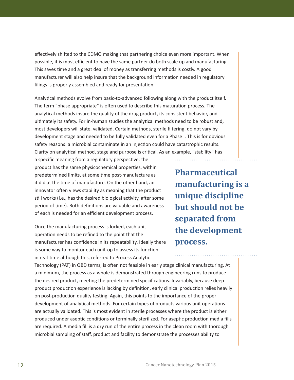effectively shifted to the CDMO making that partnering choice even more important. When possible, it is most efficient to have the same partner do both scale up and manufacturing. This saves tme and a great deal of money as transferring methods is costly. A good manufacturer will also help insure that the background informaton needed in regulatory filings is properly assembled and ready for presentation.

Analytical methods evolve from basic-to-advanced following along with the product itself. The term "phase appropriate" is often used to describe this maturation process. The analytical methods insure the quality of the drug product, its consistent behavior, and ultimately its safety. For in-human studies the analytical methods need to be robust and, most developers will state, validated. Certain methods, sterile fltering, do not vary by development stage and needed to be fully validated even for a Phase I. This is for obvious safety reasons: a microbial contaminate in an injection could have catastrophic results. Clarity on analytical method, stage and purpose is critical. As an example, "stability" has

a specific meaning from a regulatory perspective: the product has the same physicochemical properties, within predetermined limits, at some time post-manufacture as it did at the time of manufacture. On the other hand, an innovator often views stability as meaning that the product still works (i.e., has the desired biological activity, after some period of time). Both definitions are valuable and awareness of each is needed for an efficient development process.

Once the manufacturing process is locked, each unit operation needs to be refined to the point that the manufacturer has confdence in its repeatability. Ideally there is some way to monitor each unit-op to assess its function in real-time although this, referred to Process Analytic

**Pharmaceutical manufacturing is a unique discipline but should not be separated from the development process.**

. . . . . . . . . .

Technology (PAT) in QBD terms, is ofen not feasible in early stage clinical manufacturing. At a minimum, the process as a whole is demonstrated through engineering runs to produce the desired product, meetng the predetermined specifcatons. Invariably, because deep product production experience is lacking by definition, early clinical production relies heavily on post-production quality testing. Again, this points to the importance of the proper development of analytical methods. For certain types of products various unit operations are actually validated. This is most evident in sterile processes where the product is either produced under aseptic conditions or terminally sterilized. For aseptic production media fills are required. A media fll is a dry run of the entre process in the clean room with thorough microbial sampling of staff, product and facility to demonstrate the processes ability to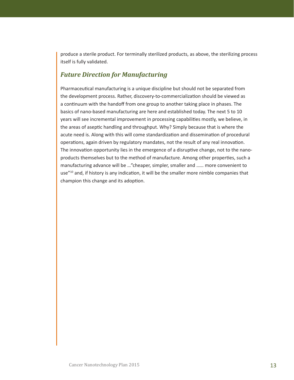produce a sterile product. For terminally sterilized products, as above, the sterilizing process itself is fully validated.

## *Future Direction for Manufacturing*

Pharmaceutcal manufacturing is a unique discipline but should not be separated from the development process. Rather, discovery-to-commercializaton should be viewed as a continuum with the handoff from one group to another taking place in phases. The basics of nano-based manufacturing are here and established today. The next 5 to 10 years will see incremental improvement in processing capabilites mostly, we believe, in the areas of aseptic handling and throughput. Why? Simply because that is where the acute need is. Along with this will come standardization and dissemination of procedural operations, again driven by regulatory mandates, not the result of any real innovation. The innovation opportunity lies in the emergence of a disruptive change, not to the nanoproducts themselves but to the method of manufacture. Among other propertes, such a manufacturing advance will be …"cheaper, simpler, smaller and …… more convenient to use"<sup>10</sup> and, if history is any indication, it will be the smaller more nimble companies that champion this change and its adoption.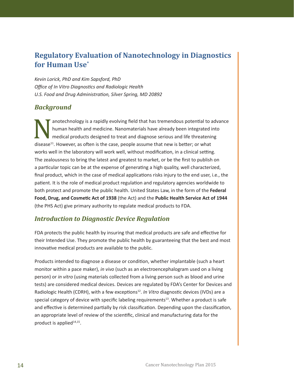## **Regulatory Evaluation of Nanotechnology in Diagnostics for Human Use\***

*Kevin Lorick, PhD and Kim Sapsford, PhD* **Office of In Vitro Diagnostics and Radiologic Health** *U.S. Food and Drug Administraton, Silver Spring, MD 20892*

## *Background*

anotechnology is a rapidly evolving field that has tremendous potential to advance human health and medicine. Nanomaterials have already been integrated into medical products designed to treat and diagnose serious and life threatening disease<sup>11</sup>. However, as often is the case, people assume that new is better; or what works well in the laboratory will work well, without modification, in a clinical setting. The zealousness to bring the latest and greatest to market, or be the frst to publish on a particular topic can be at the expense of generating a high quality, well characterized, final product, which in the case of medical applications risks injury to the end user, i.e., the patent. It is the role of medical product regulaton and regulatory agencies worldwide to both protect and promote the public health. United States Law, in the form of the **Federal**  Food, Drug, and Cosmetic Act of 1938 (the Act) and the Public Health Service Act of 1944 (the PHS Act) give primary authority to regulate medical products to FDA.

## *Introduction to Diagnostic Device Regulation*

FDA protects the public health by insuring that medical products are safe and effective for their Intended Use. They promote the public health by guaranteeing that the best and most innovative medical products are available to the public.

Products intended to diagnose a disease or conditon, whether implantable (such a heart monitor within a pace maker), *in vivo* (such as an electroencephalogram used on a living person) or *in vitro* (using materials collected from a living person such as blood and urine tests) are considered medical devices. Devices are regulated by FDA's Center for Devices and Radiologic Health (CDRH), with a few exceptions<sup>12</sup>. *In Vitro* diagnostic devices (IVDs) are a special category of device with specific labeling requirements<sup>13</sup>. Whether a product is safe and effective is determined partially by risk classification. Depending upon the classification, an appropriate level of review of the scientific, clinical and manufacturing data for the product is applied $14,15$ .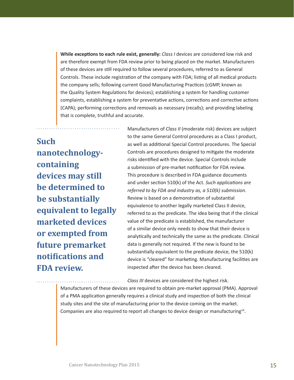**While exceptions to each rule exist, generally:** *Class I* devices are considered low risk and are therefore exempt from FDA review prior to being placed on the market. Manufacturers of these devices are stll required to follow several procedures, referred to as General Controls. These include registration of the company with FDA; listing of all medical products the company sells; following current Good Manufacturing Practices (cGMP, known as the Quality System Regulations for devices); establishing a system for handling customer complaints, establishing a system for preventative actions, corrections and corrective actions (CAPA); performing correctons and removals as necessary (recalls); and providing labeling that is complete, truthful and accurate.

# **Such nanotechnologycontaining devices may still be determined to be substantially equivalent to legally marketed devices or exempted from future premarket notifications and FDA review.**

Manufacturers of *Class II* (moderate risk) devices are subject to the same General Control procedures as a Class I product, as well as additonal Special Control procedures. The Special Controls are procedures designed to mitgate the moderate risks identified with the device. Special Controls include a submission of pre-market notification for FDA review. This procedure is described in FDA guidance documents and under section 510(k) of the Act. *Such applications are referred to by FDA and industry as, a 510(k) submission*. Review is based on a demonstration of substantial equivalence to another legally marketed Class II device, referred to as the predicate. The idea being that if the clinical value of the predicate is established, the manufacturer of a similar device only needs to show that their device is analytically and technically the same as the predicate. Clinical data is generally not required. If the new is found to be substantially equivalent to the predicate device, the 510(k) device is "cleared" for marketing. Manufacturing facilities are inspected after the device has been cleared.

*Class III* devices are considered the highest risk.

Manufacturers of these devices are required to obtain pre-market approval (PMA). Approval of a PMA applicaton generally requires a clinical study and inspecton of both the clinical study sites and the site of manufacturing prior to the device coming on the market. Companies are also required to report all changes to device design or manufacturing14.

a ba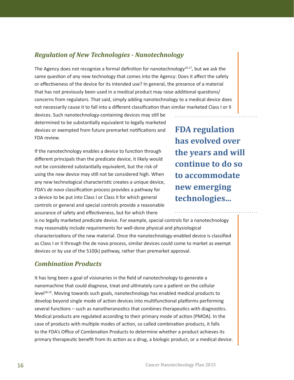## *Regulation of New Technologies - Nanotechnology*

The Agency does not recognize a formal definition for nanotechnology $16,17$ , but we ask the same question of any new technology that comes into the Agency: Does it affect the safety or effectiveness of the device for its intended use? In general, the presence of a material that has not previously been used in a medical product may raise additional questions/ concerns from regulators. That said, simply adding nanotechnology to a medical device does not necessarily cause it to fall into a diferent classifcaton than similar marketed Class I or II

devices. Such nanotechnology-containing devices may stll be determined to be substantially equivalent to legally marketed devices or exempted from future premarket notifications and FDA review.

If the nanotechnology enables a device to function through diferent principals than the predicate device, it likely would not be considered substantally equivalent, but the risk of using the new device may still not be considered high. When any new technological characteristic creates a unique device, FDA's *de novo* classification process provides a pathway for a device to be put into Class I or Class II for which general controls or general and special controls provide a reasonable assurance of safety and effectiveness, but for which there

**FDA regulation has evolved over the years and will continue to do so to accommodate new emerging technologies...**

is no legally marketed predicate device. For example, special controls for a nanotechnology may reasonably include requirements for well-done physical and physiological characterizations of the new material. Once the nanotechnology-enabled device is classified as Class I or II through the de novo process, similar devices could come to market as exempt devices or by use of the 510(k) pathway, rather than premarket approval.

## *Combination Products*

It has long been a goal of visionaries in the field of nanotechnology to generate a nanomachine that could diagnose, treat and ultmately cure a patent on the cellular  $level<sup>18,19</sup>$ . Moving towards such goals, nanotechnology has enabled medical products to develop beyond single mode of action devices into multifunctional platforms performing several functions – such as nanotheranostics that combines therapeutics with diagnostics. Medical products are regulated according to their primary mode of acton (PMOA). In the case of products with multiple modes of action, so called combination products, it falls to the FDA's Office of Combination Products to determine whether a product achieves its primary therapeutic benefit from its action as a drug, a biologic product, or a medical device.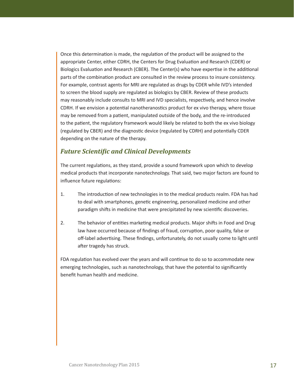Once this determination is made, the regulation of the product will be assigned to the appropriate Center, either CDRH, the Centers for Drug Evaluaton and Research (CDER) or Biologics Evaluation and Research (CBER). The Center(s) who have expertise in the additional parts of the combination product are consulted in the review process to insure consistency. For example, contrast agents for MRI are regulated as drugs by CDER while IVD's intended to screen the blood supply are regulated as biologics by CBER. Review of these products may reasonably include consults to MRI and IVD specialists, respectvely, and hence involve CDRH. If we envision a potential nanotheranostics product for ex vivo therapy, where tissue may be removed from a patent, manipulated outside of the body, and the re-introduced to the patent, the regulatory framework would likely be related to both the ex vivo biology (regulated by CBER) and the diagnostic device (regulated by CDRH) and potentially CDER depending on the nature of the therapy.

#### *Future Scientific and Clinical Developments*

The current regulations, as they stand, provide a sound framework upon which to develop medical products that incorporate nanotechnology. That said, two major factors are found to influence future regulations:

- 1. The introduction of new technologies in to the medical products realm. FDA has had to deal with smartphones, genetic engineering, personalized medicine and other paradigm shifts in medicine that were precipitated by new scientific discoveries.
- 2. The behavior of entities marketing medical products. Major shifts in Food and Drug law have occurred because of findings of fraud, corruption, poor quality, false or off-label advertising. These findings, unfortunately, do not usually come to light until after tragedy has struck.

FDA regulation has evolved over the years and will continue to do so to accommodate new emerging technologies, such as nanotechnology, that have the potental to signifcantly benefit human health and medicine.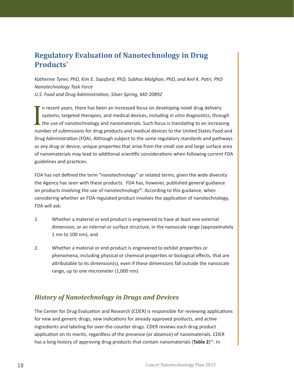## **Regulatory Evaluation of Nanotechnology in Drug Products\***

*Katherine Tyner, PhD, Kim E. Sapsford, PhD, Subhas Malghan, PhD, and Anil K. Patri, PhD Nanotechnology Task Force U.S. Food and Drug Administraton, Silver Spring, MD 20892*

I n recent years, there has been an increased focus on developing novel drug delivery systems, targeted therapies, and medical devices, including *in vitro* diagnostics, through the use of nanotechnology and nanomaterials. Such focus is translating to an increasing number of submissions for drug products and medical devices to the United States Food and Drug Administraton (FDA). Although subject to the same regulatory standards and pathways as any drug or device, unique propertes that arise from the small size and large surface area of nanomaterials may lead to additional scientific considerations when following current FDA guidelines and practices.

FDA has not defned the term "nanotechnology" or related terms, given the wide diversity the Agency has seen with these products. FDA has, however, published general guidance on products involving the use of nanotechnology<sup>20</sup>. According to this guidance, when considering whether an FDA-regulated product involves the applicaton of nanotechnology, FDA will ask:

- 1. Whether a material or end product is engineered to have at least one external dimension, or an internal or surface structure, in the nanoscale range (approximately 1 nm to 100 nm), and
- 2. Whether a material or end product is engineered to exhibit properties or phenomena, including physical or chemical properties or biological effects, that are atributable to its dimension(s), even if these dimensions fall outside the nanoscale range, up to one micrometer (1,000 nm).

## *History of Nanotechnology in Drugs and Devices*

The Center for Drug Evaluaton and Research (CDER) is responsible for reviewing applicatons for new and generic drugs, new indications for already approved products, and active ingredients and labeling for over-the-counter drugs. CDER reviews each drug product application on its merits, regardless of the presence (or absence) of nanomaterials. CDER has a long history of approving drug products that contain nanomaterials (Table 2)<sup>21</sup>. In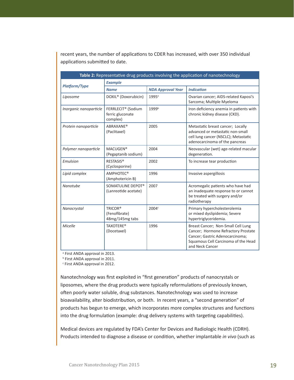recent years, the number of applications to CDER has increased, with over 350 individual applications submitted to date.

| Table 2: Representative drug products involving the application of nanotechnology |                                                                |                          |                                                                                                                                                                        |  |  |  |
|-----------------------------------------------------------------------------------|----------------------------------------------------------------|--------------------------|------------------------------------------------------------------------------------------------------------------------------------------------------------------------|--|--|--|
|                                                                                   | <b>Example</b>                                                 |                          |                                                                                                                                                                        |  |  |  |
| <b>Platform/Type</b>                                                              | <b>Name</b>                                                    | <b>NDA Approval Year</b> | <b>Indication</b>                                                                                                                                                      |  |  |  |
| Liposome                                                                          | DOXIL <sup>®</sup> (Doxorubicin)                               | 1995 <sup>a</sup>        | Ovarian cancer; AIDS-related Kaposi's<br>Sarcoma; Multiple Myeloma                                                                                                     |  |  |  |
| Inorganic nanoparticle                                                            | FERRLECIT <sup>®</sup> (Sodium<br>ferric gluconate<br>complex) | 1999b                    | Iron deficiency anemia in patients with<br>chronic kidney disease (CKD).                                                                                               |  |  |  |
| Protein nanoparticle                                                              | <b>ABRAXANE®</b><br>(Paclitaxel)                               | 2005                     | Metastatic breast cancer; Locally<br>advanced or metastatic non-small<br>cell lung cancer (NSCLC); Metastatic<br>adenocarcinoma of the pancreas                        |  |  |  |
| Polymer nanoparticle                                                              | MACUGEN <sup>®</sup><br>(Pegaptanib sodium)                    | 2004                     | Neovascular (wet) age-related macular<br>degeneration.                                                                                                                 |  |  |  |
| Emulsion                                                                          | RESTASIS <sup>®</sup><br>(Cyclosporine)                        | 2002                     | To increase tear production                                                                                                                                            |  |  |  |
| Lipid complex                                                                     | AMPHOTEC <sup>®</sup><br>(Amphotericin B)                      | 1996                     | Invasive aspergillosis                                                                                                                                                 |  |  |  |
| Nanotube                                                                          | SOMATULINE DEPOT®<br>(Lanreotide acetate)                      | 2007                     | Acromegalic patients who have had<br>an inadequate response to or cannot<br>be treated with surgery and/or<br>radiotherapy                                             |  |  |  |
| Nanocrystal                                                                       | TRICOR®<br>(Fenofibrate)<br>48mg/145mg tabs                    | 2004c                    | Primary hypercholesterolemia<br>or mixed dyslipidemia; Severe<br>hypertriglyceridemia.                                                                                 |  |  |  |
| Micelle                                                                           | <b>TAXOTERE®</b><br>(Docetaxel)                                | 1996                     | Breast Cancer; Non-Small Cell Lung<br>Cancer; Hormone Refractory Prostate<br>Cancer; Gastric Adenocarcinoma;<br>Squamous Cell Carcinoma of the Head<br>and Neck Cancer |  |  |  |

<sup>a</sup> First ANDA approval in 2013.

**b** First ANDA approval in 2011.

c First ANDA approval in 2012.

Nanotechnology was frst exploited in "frst generaton" products of nanocrystals or liposomes, where the drug products were typically reformulations of previously known, often poorly water soluble, drug substances. Nanotechnology was used to increase bioavailability, alter biodistribution, or both. In recent years, a "second generation" of products has begun to emerge, which incorporates more complex structures and functions into the drug formulation (example: drug delivery systems with targeting capabilities).

Medical devices are regulated by FDA's Center for Devices and Radiologic Health (CDRH). Products intended to diagnose a disease or conditon, whether implantable *in vivo* (such as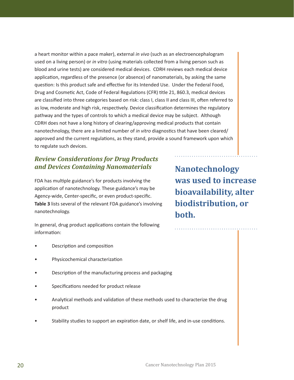a heart monitor within a pace maker), external *in vivo* (such as an electroencephalogram used on a living person) or *in vitro* (using materials collected from a living person such as blood and urine tests) are considered medical devices. CDRH reviews each medical device application, regardless of the presence (or absence) of nanomaterials, by asking the same question: Is this product safe and effective for its Intended Use. Under the Federal Food, Drug and Cosmetic Act, Code of Federal Regulations (CFR) title 21, 860.3, medical devices are classified into three categories based on risk: class I, class II and class III, often referred to as low, moderate and high risk, respectively. Device classification determines the regulatory pathway and the types of controls to which a medical device may be subject. Although CDRH does not have a long history of clearing/approving medical products that contain nanotechnology, there are a limited number of *in vitro* diagnostics that have been cleared/ approved and the current regulations, as they stand, provide a sound framework upon which to regulate such devices.

## *Review Considerations for Drug Products and Devices Containing Nanomaterials*

FDA has multiple guidance's for products involving the application of nanotechnology. These guidance's may be Agency-wide, Center-specific, or even product-specific. **Table 3** lists several of the relevant FDA guidance's involving nanotechnology.

In general, drug product applications contain the following information:

- Description and composition
- Physicochemical characterizaton
- Description of the manufacturing process and packaging
- Specifications needed for product release
- Analytical methods and validation of these methods used to characterize the drug product
- Stability studies to support an expiration date, or shelf life, and in-use conditions.

**Nanotechnology was used to increase bioavailability, alter biodistribution, or both.**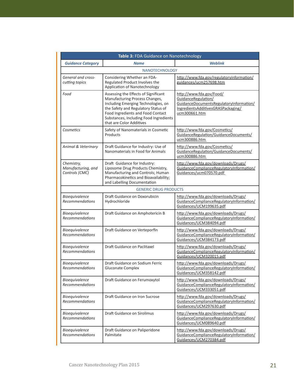| Table 3: FDA Guidance on Nanotechnology            |                                                                                                                                                                                                                                                                 |                                                                                                                                                   |  |  |  |  |  |
|----------------------------------------------------|-----------------------------------------------------------------------------------------------------------------------------------------------------------------------------------------------------------------------------------------------------------------|---------------------------------------------------------------------------------------------------------------------------------------------------|--|--|--|--|--|
| <b>Guidance Category</b>                           | <b>Name</b>                                                                                                                                                                                                                                                     | <b>Weblink</b>                                                                                                                                    |  |  |  |  |  |
|                                                    | <b>NANOTECHNOLOGY</b>                                                                                                                                                                                                                                           |                                                                                                                                                   |  |  |  |  |  |
| General and cross-<br>cutting topics               | Considering Whether an FDA-<br>Regulated Product Involves the<br>Application of Nanotechnology                                                                                                                                                                  | http://www.fda.gov/regulatoryinformation/<br>guidances/ucm257698.htm                                                                              |  |  |  |  |  |
| Food                                               | Assessing the Effects of Significant<br>Manufacturing Process Changes,<br>Including Emerging Technologies, on<br>the Safety and Regulatory Status of<br>Food Ingredients and Food Contact<br>Substances, Including Food Ingredients<br>that are Color Additives | http://www.fda.gov/Food/<br>GuidanceRegulation/<br>GuidanceDocumentsRegulatoryInformation/<br>IngredientsAdditivesGRASPackaging/<br>ucm300661.htm |  |  |  |  |  |
| Cosmetics                                          | Safety of Nanomaterials in Cosmetic<br>Products                                                                                                                                                                                                                 | http://www.fda.gov/Cosmetics/<br>GuidanceRegulation/GuidanceDocuments/<br>ucm300886.htm                                                           |  |  |  |  |  |
| Animal & Veterinary                                | Draft Guidance for Industry: Use of<br>Nanomaterials in Food for Animals                                                                                                                                                                                        | http://www.fda.gov/Cosmetics/<br>GuidanceRegulation/GuidanceDocuments/<br>ucm300886.htm                                                           |  |  |  |  |  |
| Chemistry,<br>Manufacturing, and<br>Controls (CMC) | Draft Guidance for Industry:<br>Liposome Drug Products Chemistry,<br>Manufacturing and Controls; Human<br>Pharmacokinetics and Bioavailability;<br>and Labelling Documentation                                                                                  | http://www.fda.gov/downloads/Drugs/<br>GuidanceComplianceRegulatoryInformation/<br>Guidances/ucm070570.pdf                                        |  |  |  |  |  |
|                                                    | <b>GENERIC DRUG PRODUCTS</b>                                                                                                                                                                                                                                    |                                                                                                                                                   |  |  |  |  |  |
| Bioequivalence<br><b>Recommendations</b>           | Draft Guidance on Doxorubicin<br>Hydrochloride                                                                                                                                                                                                                  | http://www.fda.gov/downloads/Drugs/<br>GuidanceComplianceRegulatoryInformation/<br>Guidances/UCM199635.pdf                                        |  |  |  |  |  |
| Bioequivalence<br><b>Recommendations</b>           | Draft Guidance on Amphotericin B                                                                                                                                                                                                                                | http://www.fda.gov/downloads/Drugs/<br>GuidanceComplianceRegulatoryInformation/<br>Guidances/UCM384094.pdf                                        |  |  |  |  |  |
| Bioequivalence<br>Recommendations                  | Draft Guidance on Verteporfin                                                                                                                                                                                                                                   | http://www.fda.gov/downloads/Drugs/<br>GuidanceComplianceRegulatoryInformation/<br>Guidances/UCM384173.pdf                                        |  |  |  |  |  |
| Bioequivalence<br>Recommendations                  | Draft Guidance on Paclitaxel                                                                                                                                                                                                                                    | http://www.fda.gov/downloads/Drugs/<br>GuidanceComplianceRegulatoryInformation/<br>Guidances/UCM320015.pdf                                        |  |  |  |  |  |
| <b>Bioequivalence</b><br>Recommendations           | Draft Guidance on Sodium Ferric<br>Gluconate Complex                                                                                                                                                                                                            | http://www.fda.gov/downloads/Drugs/<br>GuidanceComplianceRegulatoryInformation/<br>Guidances/UCM358142.pdf                                        |  |  |  |  |  |
| Bioequivalence<br><b>Recommendations</b>           | Draft Guidance on Ferumoxytol                                                                                                                                                                                                                                   | http://www.fda.gov/downloads/Drugs/<br>GuidanceComplianceRegulatoryInformation/<br>Guidances/UCM333051.pdf                                        |  |  |  |  |  |
| Bioequivalence<br><b>Recommendations</b>           | Draft Guidance on Iron Sucrose                                                                                                                                                                                                                                  | http://www.fda.gov/downloads/Drugs/<br>GuidanceComplianceRegulatoryInformation/<br>Guidances/UCM297630.pdf                                        |  |  |  |  |  |
| Bioequivalence<br>Recommendations                  | <b>Draft Guidance on Sirolimus</b>                                                                                                                                                                                                                              | http://www.fda.gov/downloads/Drugs/<br>GuidanceComplianceRegulatoryInformation/<br>Guidances/UCM089640.pdf                                        |  |  |  |  |  |
| Bioequivalence<br>Recommendations                  | Draft Guidance on Paliperidone<br>Palmitate                                                                                                                                                                                                                     | http://www.fda.gov/downloads/Drugs/<br>GuidanceComplianceRegulatoryInformation/<br>Guidances/UCM270384.pdf                                        |  |  |  |  |  |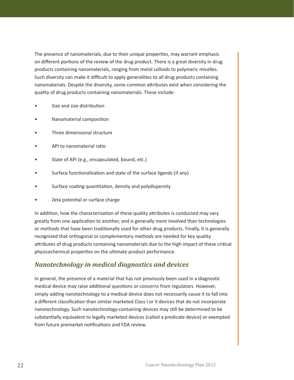The presence of nanomaterials, due to their unique propertes, may warrant emphasis on different portions of the review of the drug product. There is a great diversity in drug products containing nanomaterials, ranging from metal colloids to polymeric micelles. Such diversity can make it difficult to apply generalities to all drug products containing nanomaterials. Despite the diversity, some common atributes exist when considering the quality of drug products containing nanomaterials. These include:

- Size and size distribution
- Nanomaterial compositon
- Three dimensional structure
- API to nanomaterial rato
- State of API (e.g., encapsulated, bound, etc.)
- Surface functionalization and state of the surface ligands (if any)
- Surface coating quantitation, density and polydispersity
- Zeta potential or surface charge

In addition, how the characterization of these quality attributes is conducted may vary greatly from one applicaton to another, and is generally more involved than technologies or methods that have been traditonally used for other drug products. Finally, it is generally recognized that orthogonal or complementary methods are needed for key quality atributes of drug products containing nanomaterials due to the high impact of these critcal physicochemical properties on the ultimate product performance.

## *Nanotechnology in medical diagnostics and devices*

In general, the presence of a material that has not previously been used in a diagnostic medical device may raise additional questions or concerns from regulators. However, simply adding nanotechnology to a medical device does not necessarily cause it to fall into a diferent classifcaton than similar marketed Class I or II devices that do not incorporate nanotechnology. Such nanotechnology-containing devices may stll be determined to be substantally equivalent to legally marketed devices (called a predicate device) or exempted from future premarket notifications and FDA review.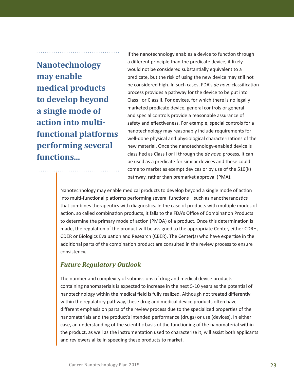**Nanotechnology may enable medical products to develop beyond a single mode of action into multifunctional platforms performing several functions...**

If the nanotechnology enables a device to function through a diferent principle than the predicate device, it likely would not be considered substantally equivalent to a predicate, but the risk of using the new device may still not be considered high. In such cases, FDA's *de novo* classifcaton process provides a pathway for the device to be put into Class I or Class II. For devices, for which there is no legally marketed predicate device, general controls or general and special controls provide a reasonable assurance of safety and effectiveness. For example, special controls for a nanotechnology may reasonably include requirements for well-done physical and physiological characterizations of the new material. Once the nanotechnology-enabled device is classifed as Class I or II through the *de novo* process, it can be used as a predicate for similar devices and these could come to market as exempt devices or by use of the 510(k) pathway, rather than premarket approval (PMA).

Nanotechnology may enable medical products to develop beyond a single mode of acton into multi-functional platforms performing several functions - such as nanotheranostics that combines therapeutics with diagnostics. In the case of products with multiple modes of action, so called combination products, it falls to the FDA's Office of Combination Products to determine the primary mode of action (PMOA) of a product. Once this determination is made, the regulation of the product will be assigned to the appropriate Center, either CDRH, CDER or Biologics Evaluaton and Research (CBER). The Center(s) who have expertse in the additonal parts of the combinaton product are consulted in the review process to ensure consistency.

#### *Future Regulatory Outlook*

The number and complexity of submissions of drug and medical device products containing nanomaterials is expected to increase in the next 5-10 years as the potental of nanotechnology within the medical feld is fully realized. Although not treated diferently within the regulatory pathway, these drug and medical device products ofen have diferent emphasis on parts of the review process due to the specialized propertes of the nanomaterials and the product's intended performance (drugs) or use (devices). In either case, an understanding of the scientific basis of the functioning of the nanomaterial within the product, as well as the instrumentation used to characterize it, will assist both applicants and reviewers alike in speeding these products to market.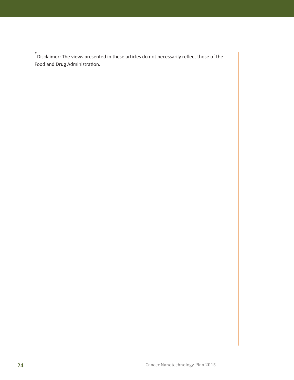\* Disclaimer: The views presented in these artcles do not necessarily refect those of the Food and Drug Administration.